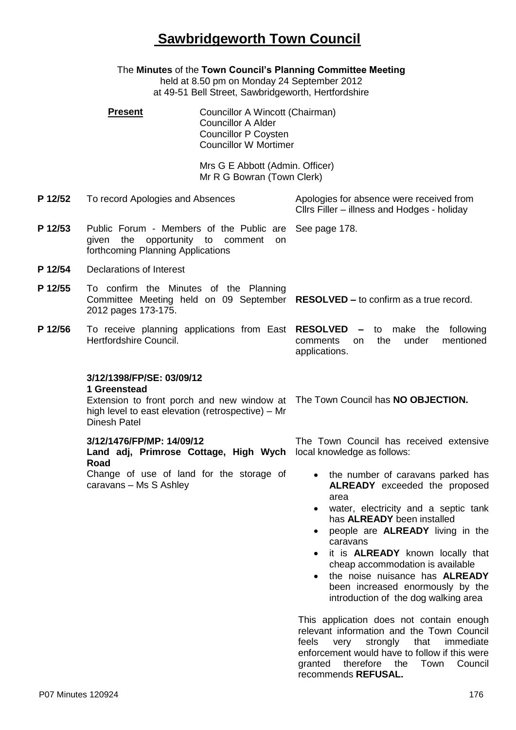# **Sawbridgeworth Town Council**

The **Minutes** of the **Town Council's Planning Committee Meeting** held at 8.50 pm on Monday 24 September 2012 at 49-51 Bell Street, Sawbridgeworth, Hertfordshire **Present Councillor A Wincott (Chairman)** Councillor A Alder Councillor P Coysten Councillor W Mortimer Mrs G E Abbott (Admin. Officer) Mr R G Bowran (Town Clerk) **P 12/52** To record Apologies and Absences Apologies for absence were received from Cllrs Filler – illness and Hodges - holiday **P 12/53** Public Forum - Members of the Public are given the opportunity to comment on forthcoming Planning Applications See page 178. **P 12/54** Declarations of Interest **P 12/55** To confirm the Minutes of the Planning Committee Meeting held on 09 September **RESOLVED –** to confirm as a true record. 2012 pages 173-175. **P 12/56** To receive planning applications from East **RESOLVED –** to make the following Hertfordshire Council. comments on the under mentioned applications. **3/12/1398/FP/SE: 03/09/12 1 Greenstead** Extension to front porch and new window at The Town Council has **NO OBJECTION.** high level to east elevation (retrospective) – Mr Dinesh Patel **3/12/1476/FP/MP: 14/09/12 Land adj, Primrose Cottage, High Wych Road** Change of use of land for the storage of caravans – Ms S Ashley The Town Council has received extensive local knowledge as follows: the number of caravans parked has **ALREADY** exceeded the proposed area water, electricity and a septic tank has **ALREADY** been installed people are **ALREADY** living in the caravans it is **ALREADY** known locally that cheap accommodation is available • the noise nuisance has **ALREADY** been increased enormously by the introduction of the dog walking area This application does not contain enough relevant information and the Town Council feels very strongly that immediate enforcement would have to follow if this were

granted therefore the Town Council

recommends **REFUSAL.**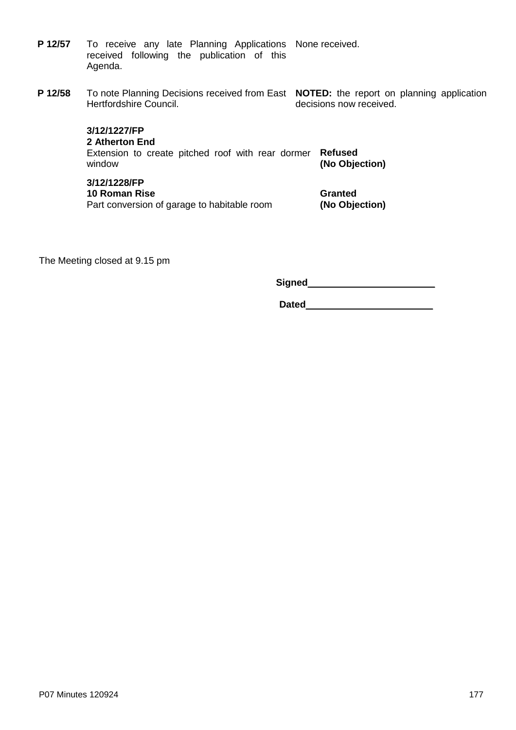| P 12/57 | To receive any late Planning Applications None received. |  |
|---------|----------------------------------------------------------|--|
|         | received following the publication of this               |  |
|         | Agenda.                                                  |  |

**P 12/58** To note Planning Decisions received from East **NOTED:** the report on planning application Hertfordshire Council.

decisions now received.

**3/12/1227/FP 2 Atherton End** Extension to create pitched roof with rear dormer **Refused**

**(No Objection)**

## **3/12/1228/FP**

window

**10 Roman Rise** Part conversion of garage to habitable room **Granted (No Objection)**

The Meeting closed at 9.15 pm

**Signed**\_\_\_\_\_\_\_\_\_\_\_\_\_\_\_\_\_\_\_\_\_\_\_\_

**Dated**\_\_\_\_\_\_\_\_\_\_\_\_\_\_\_\_\_\_\_\_\_\_\_\_